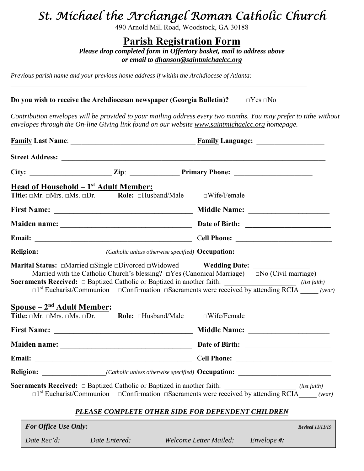## *St. Michael the Archangel Roman Catholic Church*

490 Arnold Mill Road, Woodstock, GA 30188

**Parish Registration Form**

*Please drop completed form in Offertory basket, mail to address above or email to dhanson@saintmichaelcc.org* 

*Previous parish name and your previous home address if within the Archdiocese of Atlanta:* 

| Do you wish to receive the Archdiocesan newspaper (Georgia Bulletin)? | $\Box$ Yes $\Box$ No |
|-----------------------------------------------------------------------|----------------------|
|-----------------------------------------------------------------------|----------------------|

*\_\_\_\_\_\_\_\_\_\_\_\_\_\_\_\_\_\_\_\_\_\_\_\_\_\_\_\_\_\_\_\_\_\_\_\_\_\_\_\_\_\_\_\_\_\_\_\_\_\_\_\_\_\_\_\_\_\_\_\_\_\_\_\_\_\_\_\_\_\_\_\_\_\_\_\_\_\_\_\_\_\_\_* 

*Contribution envelopes will be provided to your mailing address every two months. You may prefer to tithe without envelopes through the On-line Giving link found on our website www.saintmichaelcc.org homepage.* 

|                                                                                                           |                                                              | <b>Family Language:</b>                                                                                                                                                                                                                                                                                                                                   |
|-----------------------------------------------------------------------------------------------------------|--------------------------------------------------------------|-----------------------------------------------------------------------------------------------------------------------------------------------------------------------------------------------------------------------------------------------------------------------------------------------------------------------------------------------------------|
|                                                                                                           |                                                              |                                                                                                                                                                                                                                                                                                                                                           |
|                                                                                                           |                                                              | City: $\begin{array}{c c} \text{City:} & \text{Primary Phone:} \end{array}$                                                                                                                                                                                                                                                                               |
| Head of Household $-1st$ Adult Member:                                                                    |                                                              |                                                                                                                                                                                                                                                                                                                                                           |
|                                                                                                           | Title: □Mr. □Mrs. □Ms. □Dr. Role: □Husband/Male □Wife/Female |                                                                                                                                                                                                                                                                                                                                                           |
|                                                                                                           |                                                              |                                                                                                                                                                                                                                                                                                                                                           |
|                                                                                                           |                                                              |                                                                                                                                                                                                                                                                                                                                                           |
|                                                                                                           |                                                              | Email: Cell Phone: Cell Phone: Cell Phone: 2008.                                                                                                                                                                                                                                                                                                          |
|                                                                                                           |                                                              | Religion: ___________________(Catholic unless otherwise specified) Occupation: _____________________                                                                                                                                                                                                                                                      |
| Spouse - 2 <sup>nd</sup> Adult Member:<br>Title: $\square Mr. \ \square Mrs. \ \square Ms. \ \square Dr.$ | <b>Role:</b> $\Box$ Husband/Male $\Box$ Wife/Female          | Married with the Catholic Church's blessing? $\Box$ Yes (Canonical Marriage) $\Box$ No (Civil marriage)<br>Sacraments Received: $\Box$ Baptized Catholic or Baptized in another faith: __________________ (list faith)<br>$\square$ <sup>1st</sup> Eucharist/Communion $\square$ Confirmation $\square$ Sacraments were received by attending RCIA (year) |
|                                                                                                           |                                                              |                                                                                                                                                                                                                                                                                                                                                           |
|                                                                                                           |                                                              |                                                                                                                                                                                                                                                                                                                                                           |
|                                                                                                           |                                                              | Email: Cell Phone: Cell Phone: Cell Phone: 2008.                                                                                                                                                                                                                                                                                                          |
|                                                                                                           |                                                              | Religion: __________________(Catholic unless otherwise specified) Occupation: ______________________                                                                                                                                                                                                                                                      |
|                                                                                                           |                                                              | Sacraments Received: $\Box$ Baptized Catholic or Baptized in another faith: _________________(list faith)<br>$\square$ <sup>1st</sup> Eucharist/Communion $\square$ Confirmation $\square$ Sacraments were received by attending RCIA (year)                                                                                                              |
|                                                                                                           |                                                              | PLEASE COMPLETE OTHER SIDE FOR DEPENDENT CHILDREN                                                                                                                                                                                                                                                                                                         |
| <b>For Office Use Only:</b>                                                                               |                                                              | <b>Revised 11/11/19</b>                                                                                                                                                                                                                                                                                                                                   |

*Date Rec'd: Date Entered: Welcome Letter Mailed: Envelope #:*